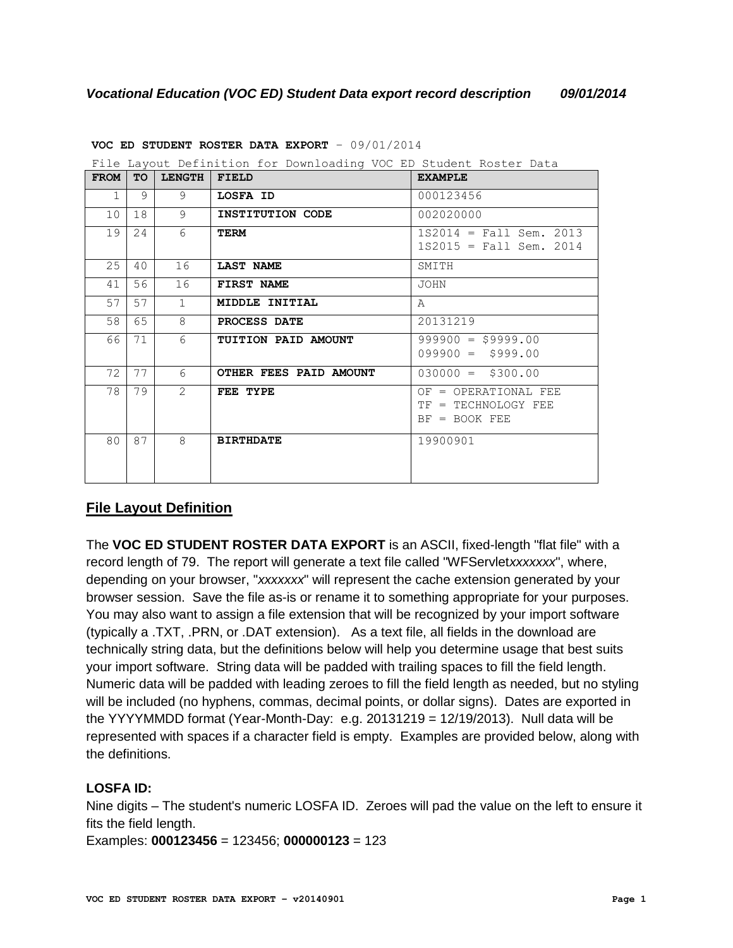| File Layout Definition for Downloading VOC ED Student Roster Data |    |               |                        |                                                                |
|-------------------------------------------------------------------|----|---------------|------------------------|----------------------------------------------------------------|
| <b>FROM</b>                                                       | TO | <b>LENGTH</b> | <b>FIELD</b>           | <b>EXAMPLE</b>                                                 |
| $\mathbf{1}$                                                      | 9  | 9             | LOSFA ID               | 000123456                                                      |
| 10                                                                | 18 | 9             | INSTITUTION CODE       | 002020000                                                      |
| 19                                                                | 24 | 6             | TERM                   | $1S2014 = Fall Sem. 2013$<br>$1S2015 = Fall Sem. 2014$         |
| 25                                                                | 40 | 16            | LAST NAME              | SMITH                                                          |
| 41                                                                | 56 | 16            | FIRST NAME             | <b>JOHN</b>                                                    |
| 57                                                                | 57 | $\mathbf{1}$  | MIDDLE INITIAL         | $\mathsf{A}$                                                   |
| 58                                                                | 65 | 8             | PROCESS DATE           | 20131219                                                       |
| 66                                                                | 71 | 6             | TUITION PAID AMOUNT    | $999900 = $9999.00$<br>$099900 = $999.00$                      |
| 72                                                                | 77 | 6             | OTHER FEES PAID AMOUNT | $030000 = $300.00$                                             |
| 78                                                                | 79 | $\mathcal{L}$ | FEE TYPE               | OF = OPERATIONAL FEE<br>TF = TECHNOLOGY FEE<br>$BF = BOOK FEE$ |
| 80                                                                | 87 | 8             | <b>BIRTHDATE</b>       | 19900901                                                       |

**VOC ED STUDENT ROSTER DATA EXPORT** – 09/01/2014

# **File Layout Definition**

The **VOC ED STUDENT ROSTER DATA EXPORT** is an ASCII, fixed-length "flat file" with a record length of 79. The report will generate a text file called "WFServlet*xxxxxxx*", where, depending on your browser, "*xxxxxxx*" will represent the cache extension generated by your browser session. Save the file as-is or rename it to something appropriate for your purposes. You may also want to assign a file extension that will be recognized by your import software (typically a .TXT, .PRN, or .DAT extension). As a text file, all fields in the download are technically string data, but the definitions below will help you determine usage that best suits your import software. String data will be padded with trailing spaces to fill the field length. Numeric data will be padded with leading zeroes to fill the field length as needed, but no styling will be included (no hyphens, commas, decimal points, or dollar signs). Dates are exported in the YYYYMMDD format (Year-Month-Day: e.g.  $20131219 = 12/19/2013$ ). Null data will be represented with spaces if a character field is empty. Examples are provided below, along with the definitions.

# **LOSFA ID:**

Nine digits – The student's numeric LOSFA ID. Zeroes will pad the value on the left to ensure it fits the field length.

Examples: **000123456** = 123456; **000000123** = 123